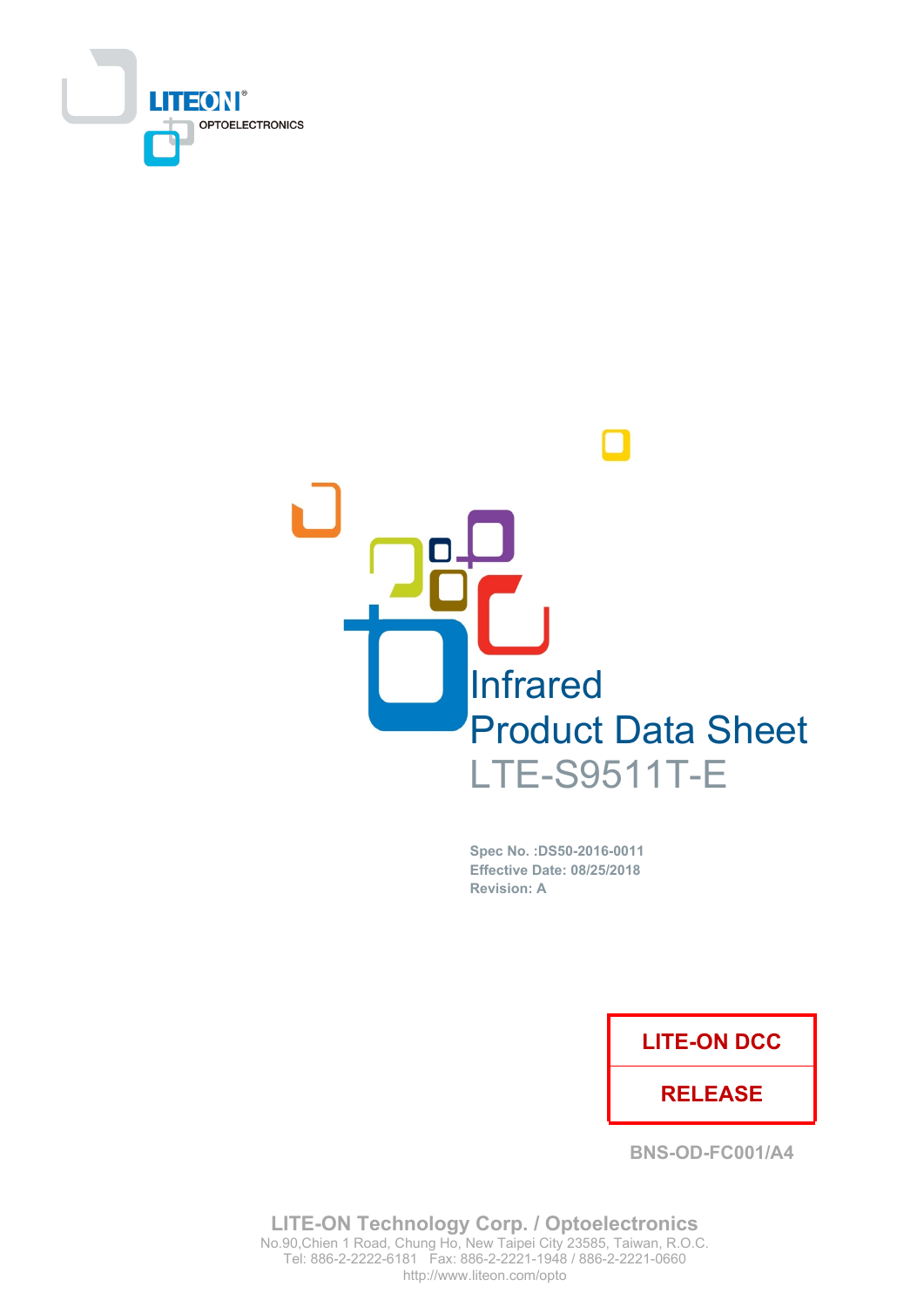



Spec No. : DS50-2016-0011 **Effective Date: 08/25/2018 Revision: A** 

### **LITE-ON DCC**

### **RELEASE**

**BNS-OD-FC001/A4** 

**LITE-ON Technology Corp. / Optoelectronics** No.90, Chien 1 Road, Chung Ho, New Taipei City 23585, Taiwan, R.O.C. Tel: 886-2-2222-6181 Fax: 886-2-2221-1948 / 886-2-2221-0660 http://www.liteon.com/opto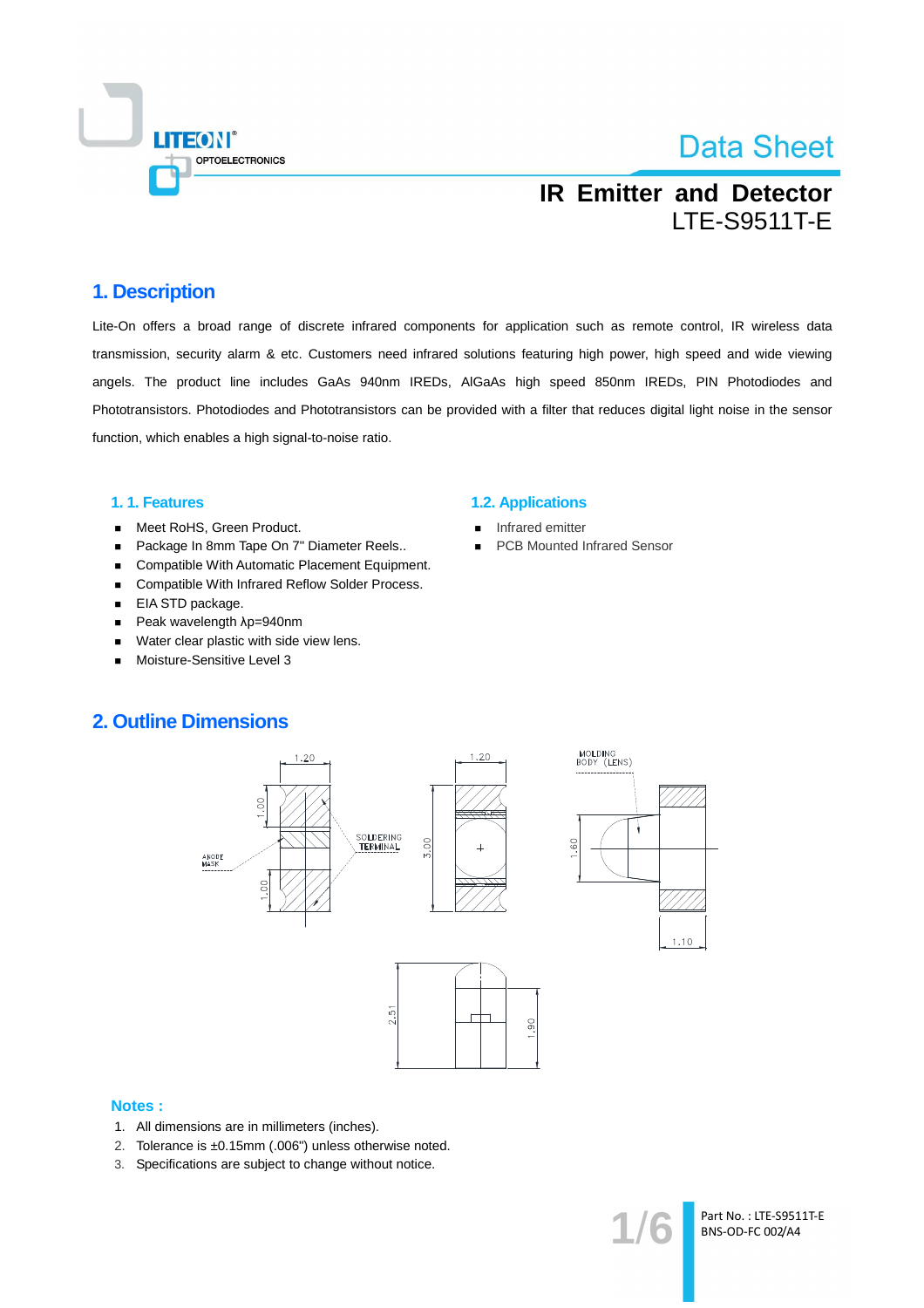

## **IR Emitter and Detector LTE-S9511T-E**

### 1. Description

Lite-On offers a broad range of discrete infrared components for application such as remote control, IR wireless data transmission, security alarm & etc. Customers need infrared solutions featuring high power, high speed and wide viewing angels. The product line includes GaAs 940nm IREDs, AIGaAs high speed 850nm IREDs, PIN Photodiodes and Phototransistors. Photodiodes and Phototransistors can be provided with a filter that reduces digital light noise in the sensor function, which enables a high signal-to-noise ratio.

### 1.1. Features

- Meet RoHS, Green Product.  $\blacksquare$
- Package In 8mm Tape On 7" Diameter Reels..  $\blacksquare$
- Compatible With Automatic Placement Equipment.  $\blacksquare$
- Compatible With Infrared Reflow Solder Process.  $\blacksquare$
- EIA STD package.  $\blacksquare$
- $\blacksquare$ Peak wavelength λp=940nm
- Water clear plastic with side view lens.  $\blacksquare$
- Moisture-Sensitive Level 3

#### **1.2. Applications**

- Infrared emitter
- **PCB Mounted Infrared Sensor**

### **2. Outline Dimensions**



#### **Notes:**

- 1. All dimensions are in millimeters (inches).
- 2. Tolerance is ±0.15mm (.006") unless otherwise noted.
- 3. Specifications are subject to change without notice.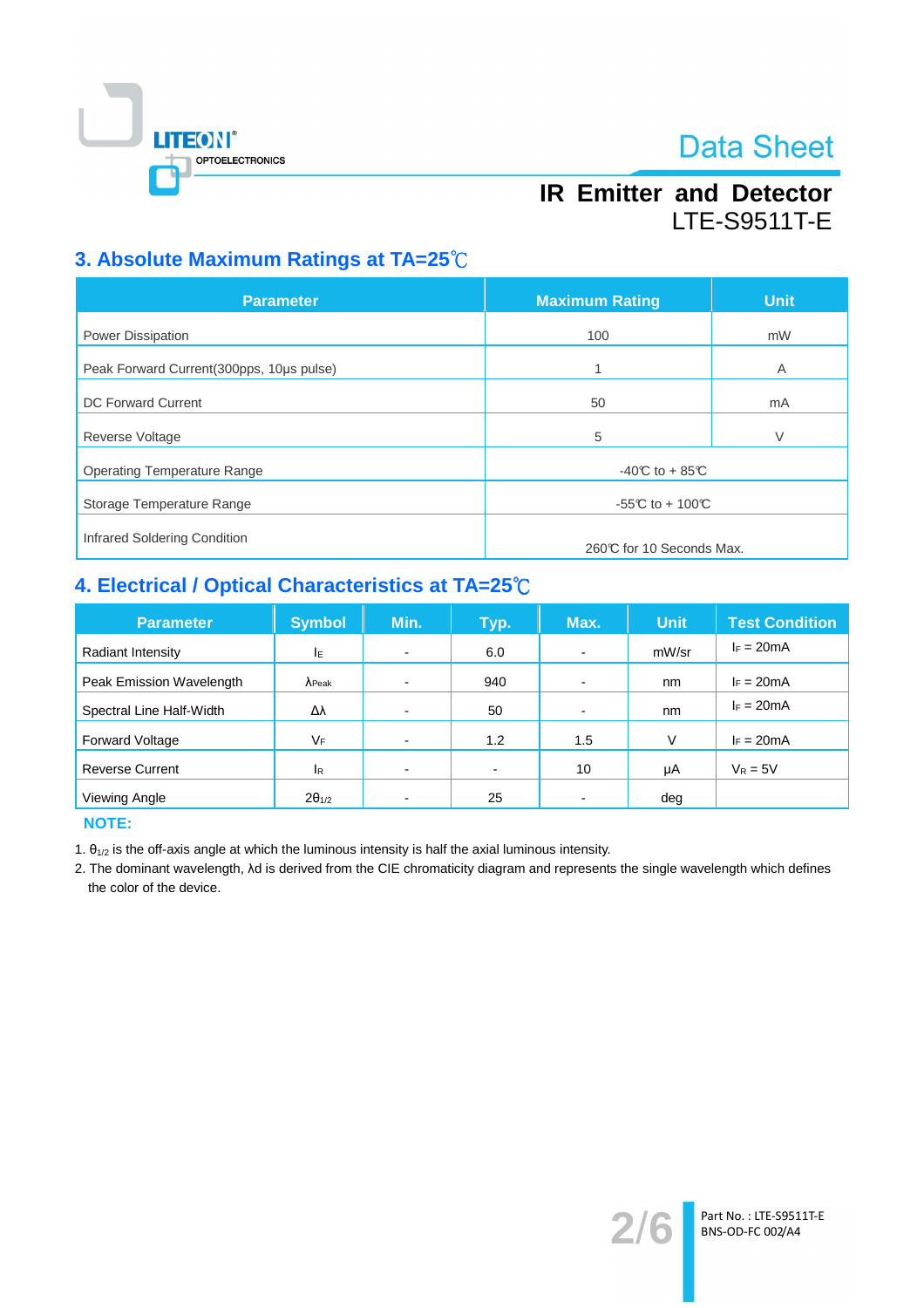

## **IR Emitter and Detector LTE-S9511T-E**

## 3. Absolute Maximum Ratings at TA=25°C

| <b>Parameter</b>                         | <b>Maximum Rating</b>    | <b>Unit</b> |  |  |
|------------------------------------------|--------------------------|-------------|--|--|
| Power Dissipation                        | 100                      | mW          |  |  |
| Peak Forward Current(300pps, 10us pulse) | 1                        | A           |  |  |
| <b>DC Forward Current</b>                | 50                       | mA          |  |  |
| Reverse Voltage                          | 5                        | V           |  |  |
| <b>Operating Temperature Range</b>       | $-40C$ to $+85C$         |             |  |  |
| Storage Temperature Range                | -55°C to + 100°C         |             |  |  |
| Infrared Soldering Condition             |                          |             |  |  |
|                                          | 260℃ for 10 Seconds Max. |             |  |  |

## 4. Electrical / Optical Characteristics at TA=25°C

| <b>Parameter</b>         | <b>Symbol</b>   | Min.                     | Typ.           | Max.                     | <b>Unit</b> | <b>Test Condition</b> |
|--------------------------|-----------------|--------------------------|----------------|--------------------------|-------------|-----------------------|
| Radiant Intensity        | ΙE              |                          | 6.0            | $\overline{\phantom{a}}$ | mW/sr       | $I_F = 20mA$          |
| Peak Emission Wavelength | $\lambda$ Peak  | $\overline{\phantom{0}}$ | 940            |                          | nm          | $I_F = 20mA$          |
| Spectral Line Half-Width | Δλ              |                          | 50             |                          | nm          | $I_F = 20mA$          |
| <b>Forward Voltage</b>   | VF              |                          | 1.2            | 1.5                      | V           | $I_F = 20mA$          |
| <b>Reverse Current</b>   | <b>IR</b>       | $\blacksquare$           | $\blacksquare$ | 10                       | μA          | $V_R = 5V$            |
| Viewing Angle            | $2\theta_{1/2}$ |                          | 25             |                          | deg         |                       |

**NOTE:** 

1.  $\theta_{1/2}$  is the off-axis angle at which the luminous intensity is half the axial luminous intensity.

2. The dominant wavelength, Ad is derived from the CIE chromaticity diagram and represents the single wavelength which defines the color of the device.

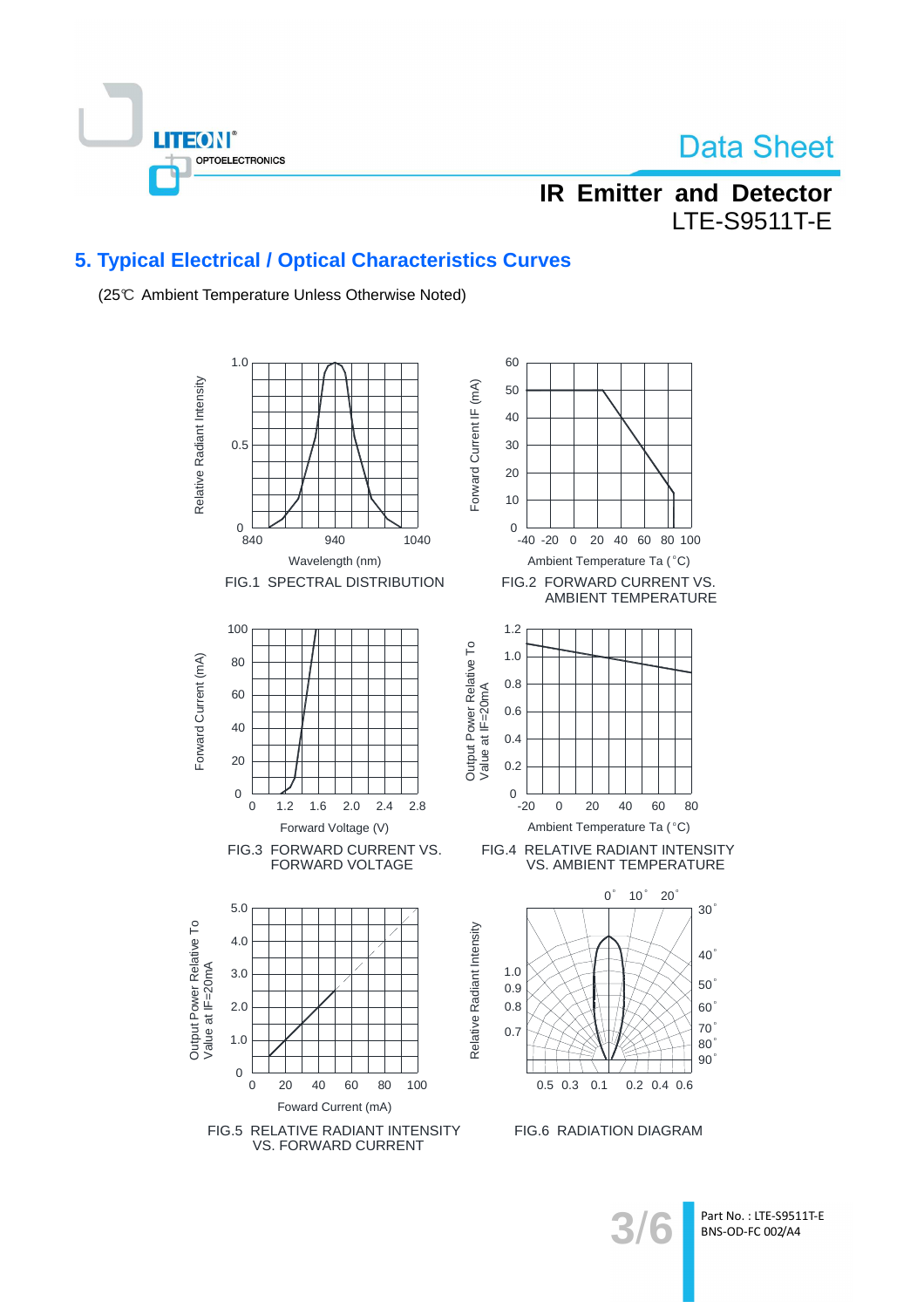

## **IR Emitter and Detector LTE-S9511T-E**

### 5. Typical Electrical / Optical Characteristics Curves

(25℃ Ambient Temperature Unless Otherwise Noted)



Part No.: LTE-S9511T-E BNS-OD-FC 002/A4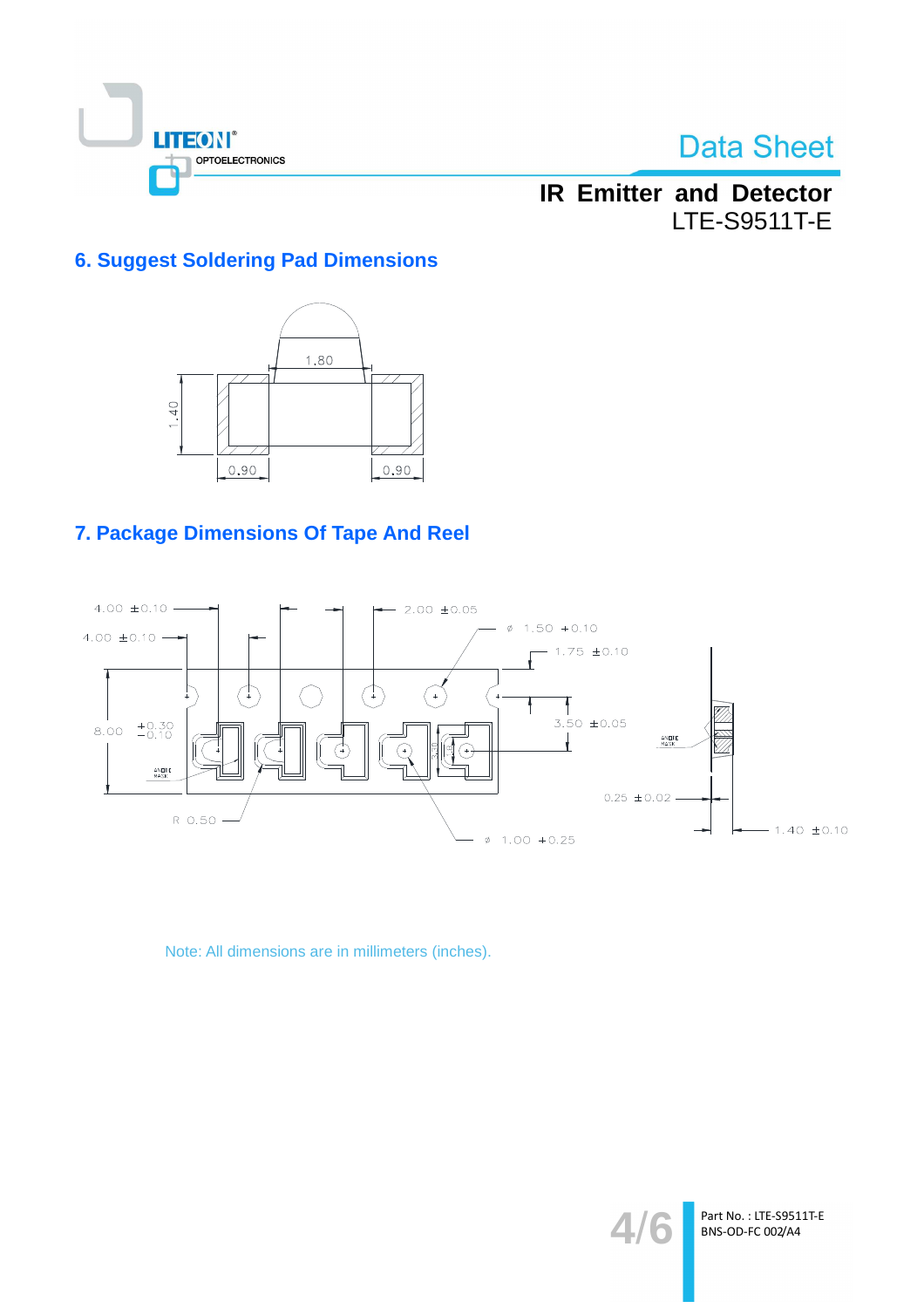

## **IR Emitter and Detector LTE-S9511T-E**

### **6. Suggest Soldering Pad Dimensions**



## 7. Package Dimensions Of Tape And Reel



Note: All dimensions are in millimeters (inches).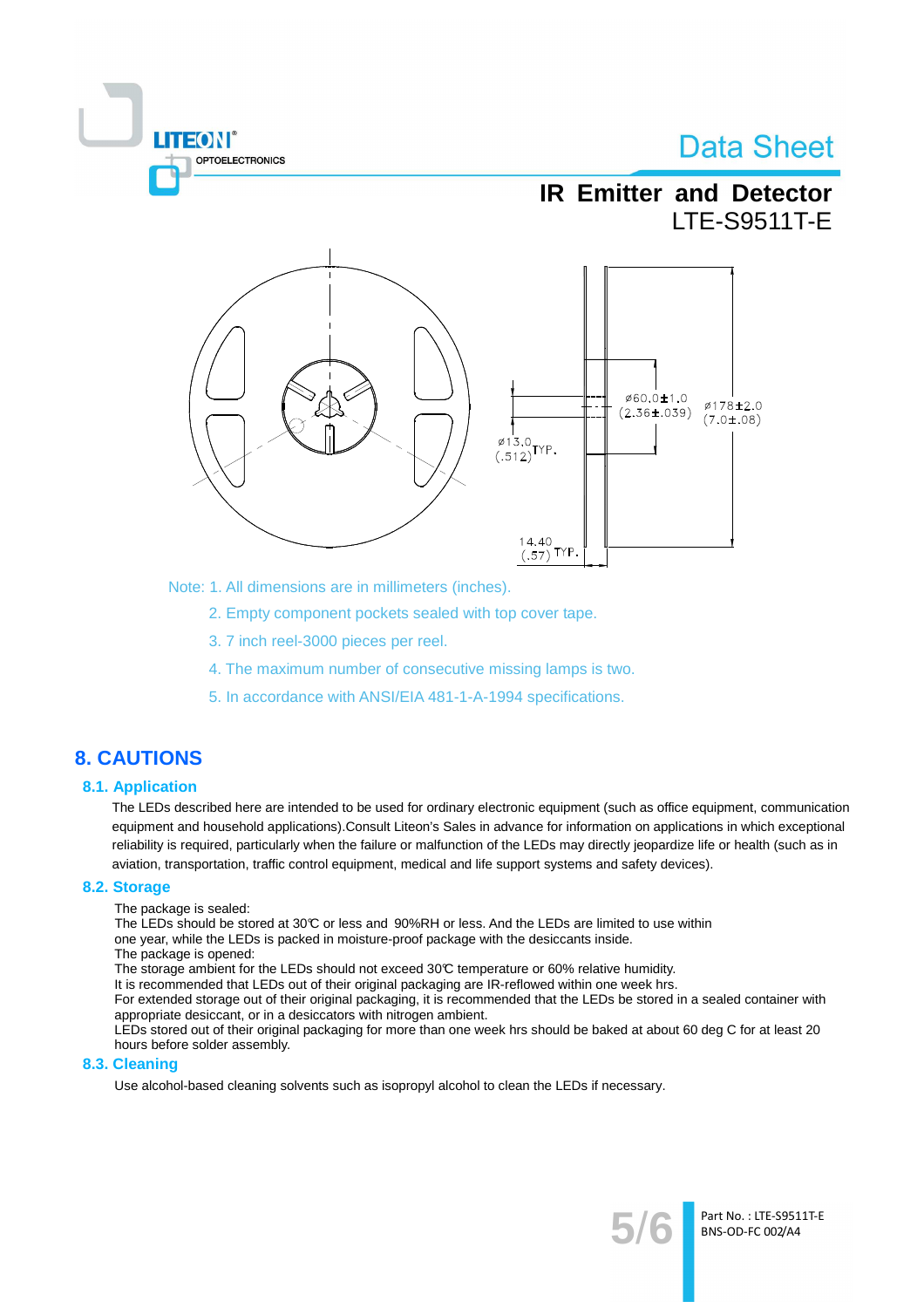

Note: 1. All dimensions are in millimeters (inches).

- 2. Empty component pockets sealed with top cover tape.
- 3.7 inch reel-3000 pieces per reel.
- 4. The maximum number of consecutive missing lamps is two.
- 5. In accordance with ANSI/EIA 481-1-A-1994 specifications.

### **8. CAUTIONS**

#### **8.1. Application**

The LEDs described here are intended to be used for ordinary electronic equipment (such as office equipment, communication equipment and household applications). Consult Liteon's Sales in advance for information on applications in which exceptional reliability is required, particularly when the failure or malfunction of the LEDs may directly jeopardize life or health (such as in aviation, transportation, traffic control equipment, medical and life support systems and safety devices).

#### 8.2. Storage

The package is sealed:

**TEON** 

**OPTOELECTRONICS** 

The LEDs should be stored at 30°C or less and 90%RH or less. And the LEDs are limited to use within one year, while the LEDs is packed in moisture-proof package with the desiccants inside.

The package is opened:

The storage ambient for the LEDs should not exceed 30°C temperature or 60% relative humidity.

It is recommended that LEDs out of their original packaging are IR-reflowed within one week hrs.

For extended storage out of their original packaging, it is recommended that the LEDs be stored in a sealed container with appropriate desiccant, or in a desiccators with nitrogen ambient.

LEDs stored out of their original packaging for more than one week hrs should be baked at about 60 deg C for at least 20 hours before solder assembly.

#### 8.3. Cleaning

Use alcohol-based cleaning solvents such as isopropyl alcohol to clean the LEDs if necessary.